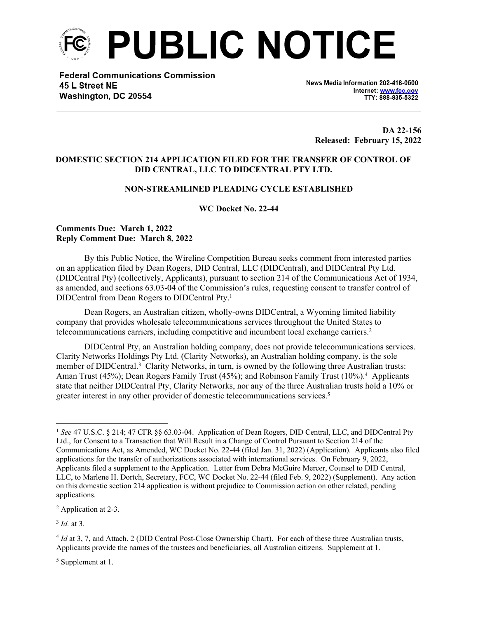

**Federal Communications Commission** 45 L Street NE Washington, DC 20554

News Media Information 202-418-0500 Internet: www.fcc.gov TTY: 888-835-5322

**DA 22-156 Released: February 15, 2022**

## **DOMESTIC SECTION 214 APPLICATION FILED FOR THE TRANSFER OF CONTROL OF DID CENTRAL, LLC TO DIDCENTRAL PTY LTD.**

## **NON-STREAMLINED PLEADING CYCLE ESTABLISHED**

**WC Docket No. 22-44**

### **Comments Due: March 1, 2022 Reply Comment Due: March 8, 2022**

By this Public Notice, the Wireline Competition Bureau seeks comment from interested parties on an application filed by Dean Rogers, DID Central, LLC (DIDCentral), and DIDCentral Pty Ltd. (DIDCentral Pty) (collectively, Applicants), pursuant to section 214 of the Communications Act of 1934, as amended, and sections 63.03-04 of the Commission's rules, requesting consent to transfer control of DIDCentral from Dean Rogers to DIDCentral Pty.<sup>1</sup>

Dean Rogers, an Australian citizen, wholly-owns DIDCentral, a Wyoming limited liability company that provides wholesale telecommunications services throughout the United States to telecommunications carriers, including competitive and incumbent local exchange carriers.<sup>2</sup>

DIDCentral Pty, an Australian holding company, does not provide telecommunications services. Clarity Networks Holdings Pty Ltd. (Clarity Networks), an Australian holding company, is the sole member of DIDCentral.<sup>3</sup> Clarity Networks, in turn, is owned by the following three Australian trusts: Aman Trust (45%); Dean Rogers Family Trust (45%); and Robinson Family Trust (10%).<sup>4</sup> Applicants state that neither DIDCentral Pty, Clarity Networks, nor any of the three Australian trusts hold a 10% or greater interest in any other provider of domestic telecommunications services.<sup>5</sup>

3 *Id.* at 3.

<sup>5</sup> Supplement at 1.

<sup>1</sup> *See* 47 U.S.C. § 214; 47 CFR §§ 63.03-04. Application of Dean Rogers, DID Central, LLC, and DIDCentral Pty Ltd., for Consent to a Transaction that Will Result in a Change of Control Pursuant to Section 214 of the Communications Act, as Amended, WC Docket No. 22-44 (filed Jan. 31, 2022) (Application). Applicants also filed applications for the transfer of authorizations associated with international services. On February 9, 2022, Applicants filed a supplement to the Application. Letter from Debra McGuire Mercer, Counsel to DID Central, LLC, to Marlene H. Dortch, Secretary, FCC, WC Docket No. 22-44 (filed Feb. 9, 2022) (Supplement). Any action on this domestic section 214 application is without prejudice to Commission action on other related, pending applications.

<sup>2</sup> Application at 2-3.

<sup>&</sup>lt;sup>4</sup> *Id* at 3, 7, and Attach. 2 (DID Central Post-Close Ownership Chart). For each of these three Australian trusts, Applicants provide the names of the trustees and beneficiaries, all Australian citizens. Supplement at 1.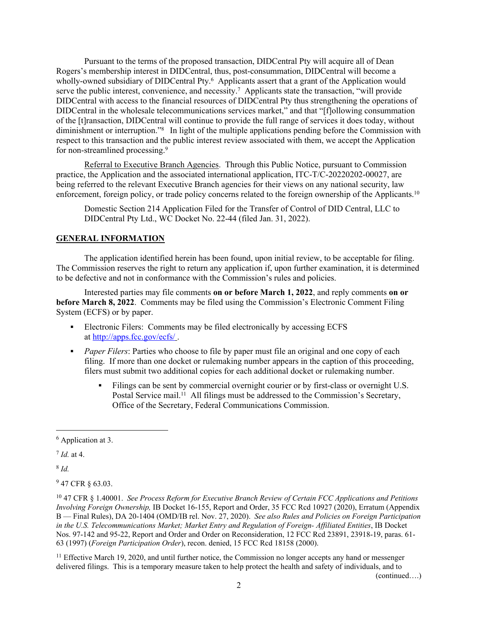Pursuant to the terms of the proposed transaction, DIDCentral Pty will acquire all of Dean Rogers's membership interest in DIDCentral, thus, post-consummation, DIDCentral will become a wholly-owned subsidiary of DIDCentral Pty.<sup>6</sup> Applicants assert that a grant of the Application would serve the public interest, convenience, and necessity.<sup>7</sup> Applicants state the transaction, "will provide DIDCentral with access to the financial resources of DIDCentral Pty thus strengthening the operations of DIDCentral in the wholesale telecommunications services market," and that "[f]ollowing consummation of the [t]ransaction, DIDCentral will continue to provide the full range of services it does today, without diminishment or interruption."<sup>8</sup> In light of the multiple applications pending before the Commission with respect to this transaction and the public interest review associated with them, we accept the Application for non-streamlined processing.<sup>9</sup>

Referral to Executive Branch Agencies. Through this Public Notice, pursuant to Commission practice, the Application and the associated international application, ITC-T/C-20220202-00027, are being referred to the relevant Executive Branch agencies for their views on any national security, law enforcement, foreign policy, or trade policy concerns related to the foreign ownership of the Applicants.<sup>10</sup>

Domestic Section 214 Application Filed for the Transfer of Control of DID Central, LLC to DIDCentral Pty Ltd., WC Docket No. 22-44 (filed Jan. 31, 2022).

# **GENERAL INFORMATION**

The application identified herein has been found, upon initial review, to be acceptable for filing. The Commission reserves the right to return any application if, upon further examination, it is determined to be defective and not in conformance with the Commission's rules and policies.

Interested parties may file comments **on or before March 1, 2022**, and reply comments **on or before March 8, 2022**. Comments may be filed using the Commission's Electronic Comment Filing System (ECFS) or by paper.

- Electronic Filers: Comments may be filed electronically by accessing ECFS at <http://apps.fcc.gov/ecfs/> .
- **Paper Filers:** Parties who choose to file by paper must file an original and one copy of each filing. If more than one docket or rulemaking number appears in the caption of this proceeding, filers must submit two additional copies for each additional docket or rulemaking number.
	- Filings can be sent by commercial overnight courier or by first-class or overnight U.S. Postal Service mail.<sup>11</sup> All filings must be addressed to the Commission's Secretary, Office of the Secretary, Federal Communications Commission.

7 *Id.* at 4.

8 *Id.*

<sup>9</sup> 47 CFR § 63.03.

<sup>11</sup> Effective March 19, 2020, and until further notice, the Commission no longer accepts any hand or messenger delivered filings. This is a temporary measure taken to help protect the health and safety of individuals, and to

(continued….)

<sup>6</sup> Application at 3.

<sup>10</sup> 47 CFR § 1.40001. *See Process Reform for Executive Branch Review of Certain FCC Applications and Petitions Involving Foreign Ownership,* IB Docket 16-155, Report and Order, 35 FCC Rcd 10927 (2020), Erratum (Appendix B — Final Rules), DA 20-1404 (OMD/IB rel. Nov. 27, 2020). *See also Rules and Policies on Foreign Participation in the U.S. Telecommunications Market; Market Entry and Regulation of Foreign- Affiliated Entities*, IB Docket Nos. 97-142 and 95-22, Report and Order and Order on Reconsideration, 12 FCC Rcd 23891, 23918-19, paras. 61- 63 (1997) (*Foreign Participation Order*), recon. denied, 15 FCC Rcd 18158 (2000).